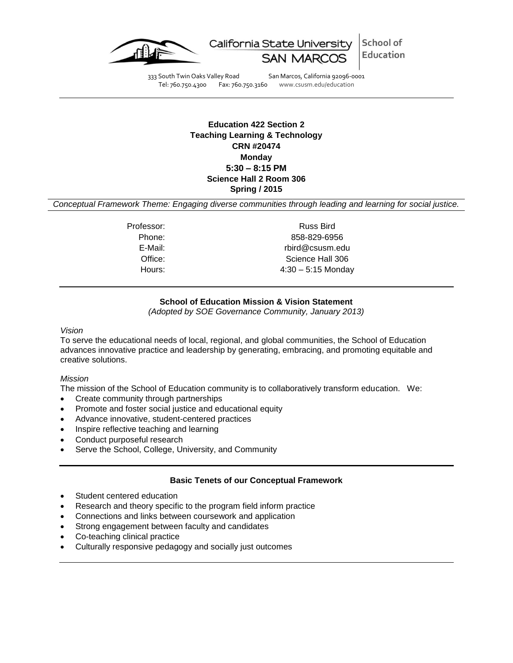

School of California State University Education SAN M

333 South Twin Oaks Valley Road San Marcos, California 92096-0001<br>Tel: 760.750.4300 Fax: 760.750.3160 www.csusm.edu/education

www.csusm.edu/education

# **Education 422 Section 2 Teaching Learning & Technology CRN #20474 Monday 5:30 – 8:15 PM Science Hall 2 Room 306 Spring / 2015**

*Conceptual Framework Theme: Engaging diverse communities through leading and learning for social justice.*

Professor: Russ Bird Phone: 858-829-6956 E-Mail: rbird@csusm.edu Office: Science Hall 306 Hours: 4:30 – 5:15 Monday

# **School of Education Mission & Vision Statement**

*(Adopted by SOE Governance Community, January 2013)*

#### *Vision*

To serve the educational needs of local, regional, and global communities, the School of Education advances innovative practice and leadership by generating, embracing, and promoting equitable and creative solutions.

#### *Mission*

The mission of the School of Education community is to collaboratively transform education. We:

- Create community through partnerships
- Promote and foster social justice and educational equity
- Advance innovative, student-centered practices
- Inspire reflective teaching and learning
- Conduct purposeful research
- Serve the School, College, University, and Community

#### **Basic Tenets of our Conceptual Framework**

- Student centered education
- Research and theory specific to the program field inform practice
- Connections and links between coursework and application
- Strong engagement between faculty and candidates
- Co-teaching clinical practice
- Culturally responsive pedagogy and socially just outcomes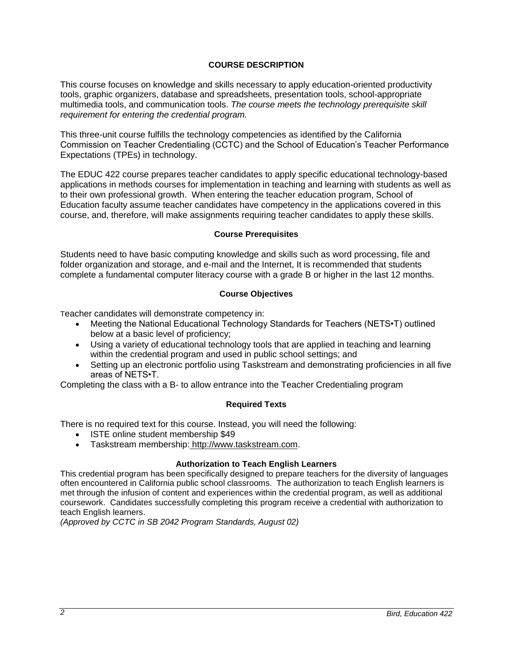# **COURSE DESCRIPTION**

This course focuses on knowledge and skills necessary to apply education-oriented productivity tools, graphic organizers, database and spreadsheets, presentation tools, school-appropriate multimedia tools, and communication tools. *The course meets the technology prerequisite skill requirement for entering the credential program.*

This three-unit course fulfills the technology competencies as identified by the California Commission on Teacher Credentialing (CCTC) and the School of Education's Teacher Performance Expectations (TPEs) in technology.

The EDUC 422 course prepares teacher candidates to apply specific educational technology-based applications in methods courses for implementation in teaching and learning with students as well as to their own professional growth. When entering the teacher education program, School of Education faculty assume teacher candidates have competency in the applications covered in this course, and, therefore, will make assignments requiring teacher candidates to apply these skills.

### **Course Prerequisites**

Students need to have basic computing knowledge and skills such as word processing, file and folder organization and storage, and e-mail and the Internet, It is recommended that students complete a fundamental computer literacy course with a grade B or higher in the last 12 months.

# **Course Objectives**

Teacher candidates will demonstrate competency in:

- Meeting the National Educational Technology Standards for Teachers (NETS•T) outlined below at a basic level of proficiency;
- Using a variety of educational technology tools that are applied in teaching and learning within the credential program and used in public school settings; and
- Setting up an electronic portfolio using Taskstream and demonstrating proficiencies in all five areas of NETS•T.

Completing the class with a B- to allow entrance into the Teacher Credentialing program

# **Required Texts**

There is no required text for this course. Instead, you will need the following:

- ISTE online student membership \$49
- Taskstream membership: [http://www.taskstream.com.](http://www.taskstream.com/)

#### **Authorization to Teach English Learners**

This credential program has been specifically designed to prepare teachers for the diversity of languages often encountered in California public school classrooms. The authorization to teach English learners is met through the infusion of content and experiences within the credential program, as well as additional coursework. Candidates successfully completing this program receive a credential with authorization to teach English learners.

*(Approved by CCTC in SB 2042 Program Standards, August 02)*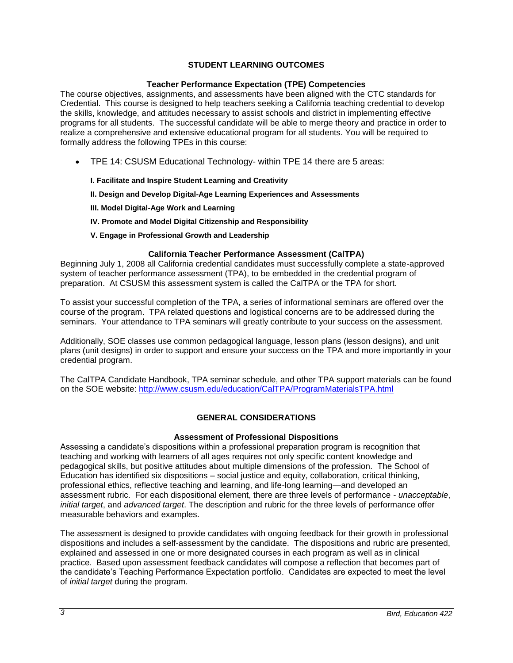# **STUDENT LEARNING OUTCOMES**

### **Teacher Performance Expectation (TPE) Competencies**

The course objectives, assignments, and assessments have been aligned with the CTC standards for Credential. This course is designed to help teachers seeking a California teaching credential to develop the skills, knowledge, and attitudes necessary to assist schools and district in implementing effective programs for all students. The successful candidate will be able to merge theory and practice in order to realize a comprehensive and extensive educational program for all students. You will be required to formally address the following TPEs in this course:

- TPE 14: CSUSM Educational Technology- within TPE 14 there are 5 areas:
	- **I. Facilitate and Inspire Student Learning and Creativity**
	- **II. Design and Develop Digital-Age Learning Experiences and Assessments**
	- **III. Model Digital-Age Work and Learning**
	- **IV. Promote and Model Digital Citizenship and Responsibility**
	- **V. Engage in Professional Growth and Leadership**

### **California Teacher Performance Assessment (CalTPA)**

Beginning July 1, 2008 all California credential candidates must successfully complete a state-approved system of teacher performance assessment (TPA), to be embedded in the credential program of preparation. At CSUSM this assessment system is called the CalTPA or the TPA for short.

To assist your successful completion of the TPA, a series of informational seminars are offered over the course of the program. TPA related questions and logistical concerns are to be addressed during the seminars. Your attendance to TPA seminars will greatly contribute to your success on the assessment.

Additionally, SOE classes use common pedagogical language, lesson plans (lesson designs), and unit plans (unit designs) in order to support and ensure your success on the TPA and more importantly in your credential program.

The CalTPA Candidate Handbook, TPA seminar schedule, and other TPA support materials can be found on the SOE website:<http://www.csusm.edu/education/CalTPA/ProgramMaterialsTPA.html>

# **GENERAL CONSIDERATIONS**

#### **Assessment of Professional Dispositions**

Assessing a candidate's dispositions within a professional preparation program is recognition that teaching and working with learners of all ages requires not only specific content knowledge and pedagogical skills, but positive attitudes about multiple dimensions of the profession. The School of Education has identified six dispositions – social justice and equity, collaboration, critical thinking, professional ethics, reflective teaching and learning, and life-long learning—and developed an assessment rubric. For each dispositional element, there are three levels of performance - *unacceptable*, *initial target*, and *advanced target*. The description and rubric for the three levels of performance offer measurable behaviors and examples.

The assessment is designed to provide candidates with ongoing feedback for their growth in professional dispositions and includes a self-assessment by the candidate. The dispositions and rubric are presented, explained and assessed in one or more designated courses in each program as well as in clinical practice. Based upon assessment feedback candidates will compose a reflection that becomes part of the candidate's Teaching Performance Expectation portfolio. Candidates are expected to meet the level of *initial target* during the program.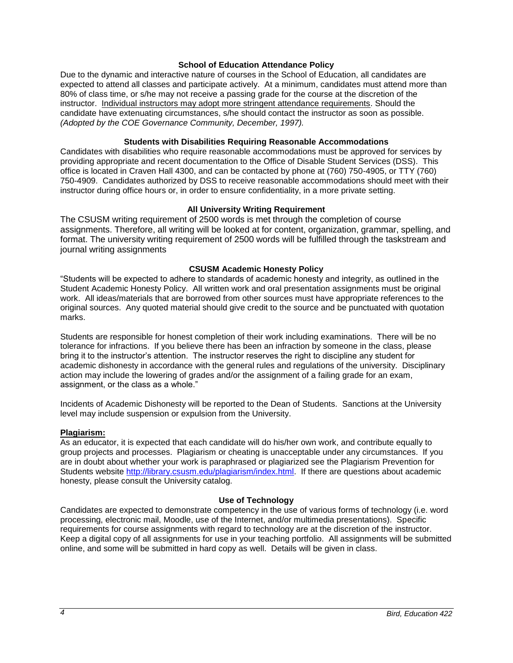#### **School of Education Attendance Policy**

Due to the dynamic and interactive nature of courses in the School of Education, all candidates are expected to attend all classes and participate actively. At a minimum, candidates must attend more than 80% of class time, or s/he may not receive a passing grade for the course at the discretion of the instructor. Individual instructors may adopt more stringent attendance requirements. Should the candidate have extenuating circumstances, s/he should contact the instructor as soon as possible. *(Adopted by the COE Governance Community, December, 1997).*

#### **Students with Disabilities Requiring Reasonable Accommodations**

Candidates with disabilities who require reasonable accommodations must be approved for services by providing appropriate and recent documentation to the Office of Disable Student Services (DSS). This office is located in Craven Hall 4300, and can be contacted by phone at (760) 750-4905, or TTY (760) 750-4909. Candidates authorized by DSS to receive reasonable accommodations should meet with their instructor during office hours or, in order to ensure confidentiality, in a more private setting.

### **All University Writing Requirement**

The CSUSM writing requirement of 2500 words is met through the completion of course assignments. Therefore, all writing will be looked at for content, organization, grammar, spelling, and format. The university writing requirement of 2500 words will be fulfilled through the taskstream and journal writing assignments

### **CSUSM Academic Honesty Policy**

"Students will be expected to adhere to standards of academic honesty and integrity, as outlined in the Student Academic Honesty Policy. All written work and oral presentation assignments must be original work. All ideas/materials that are borrowed from other sources must have appropriate references to the original sources. Any quoted material should give credit to the source and be punctuated with quotation marks.

Students are responsible for honest completion of their work including examinations. There will be no tolerance for infractions. If you believe there has been an infraction by someone in the class, please bring it to the instructor's attention. The instructor reserves the right to discipline any student for academic dishonesty in accordance with the general rules and regulations of the university. Disciplinary action may include the lowering of grades and/or the assignment of a failing grade for an exam, assignment, or the class as a whole."

Incidents of Academic Dishonesty will be reported to the Dean of Students. Sanctions at the University level may include suspension or expulsion from the University.

#### **Plagiarism:**

As an educator, it is expected that each candidate will do his/her own work, and contribute equally to group projects and processes. Plagiarism or cheating is unacceptable under any circumstances. If you are in doubt about whether your work is paraphrased or plagiarized see the Plagiarism Prevention for Students website [http://library.csusm.edu/plagiarism/index.html.](http://library.csusm.edu/plagiarism/index.html) If there are questions about academic honesty, please consult the University catalog.

# **Use of Technology**

Candidates are expected to demonstrate competency in the use of various forms of technology (i.e. word processing, electronic mail, Moodle, use of the Internet, and/or multimedia presentations). Specific requirements for course assignments with regard to technology are at the discretion of the instructor. Keep a digital copy of all assignments for use in your teaching portfolio. All assignments will be submitted online, and some will be submitted in hard copy as well. Details will be given in class.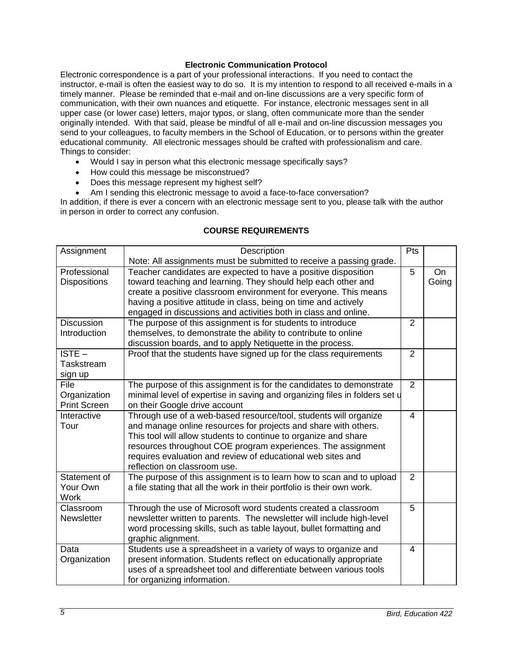### **Electronic Communication Protocol**

Electronic correspondence is a part of your professional interactions. If you need to contact the instructor, e-mail is often the easiest way to do so. It is my intention to respond to all received e-mails in a timely manner. Please be reminded that e-mail and on-line discussions are a very specific form of communication, with their own nuances and etiquette. For instance, electronic messages sent in all upper case (or lower case) letters, major typos, or slang, often communicate more than the sender originally intended. With that said, please be mindful of all e-mail and on-line discussion messages you send to your colleagues, to faculty members in the School of Education, or to persons within the greater educational community. All electronic messages should be crafted with professionalism and care. Things to consider:

- Would I say in person what this electronic message specifically says?
- How could this message be misconstrued?
- Does this message represent my highest self?
- Am I sending this electronic message to avoid a face-to-face conversation?

In addition, if there is ever a concern with an electronic message sent to you, please talk with the author in person in order to correct any confusion.

# **COURSE REQUIREMENTS**

| Assignment          | Description                                                                                                                        |                |           |  |
|---------------------|------------------------------------------------------------------------------------------------------------------------------------|----------------|-----------|--|
|                     | Note: All assignments must be submitted to receive a passing grade.                                                                |                |           |  |
| Professional        | Teacher candidates are expected to have a positive disposition                                                                     | 5              | <b>On</b> |  |
| <b>Dispositions</b> | toward teaching and learning. They should help each other and                                                                      |                | Going     |  |
|                     | create a positive classroom environment for everyone. This means                                                                   |                |           |  |
|                     | having a positive attitude in class, being on time and actively                                                                    |                |           |  |
|                     | engaged in discussions and activities both in class and online.                                                                    |                |           |  |
| <b>Discussion</b>   | The purpose of this assignment is for students to introduce                                                                        | $\overline{2}$ |           |  |
| Introduction        | themselves, to demonstrate the ability to contribute to online                                                                     |                |           |  |
|                     | discussion boards, and to apply Netiquette in the process.                                                                         |                |           |  |
| $ISTE -$            | Proof that the students have signed up for the class requirements                                                                  | $\overline{2}$ |           |  |
| Taskstream          |                                                                                                                                    |                |           |  |
| sign up             |                                                                                                                                    |                |           |  |
| File                | The purpose of this assignment is for the candidates to demonstrate                                                                | $\overline{2}$ |           |  |
| Organization        | minimal level of expertise in saving and organizing files in folders set u                                                         |                |           |  |
| <b>Print Screen</b> | on their Google drive account                                                                                                      |                |           |  |
| Interactive<br>Tour | Through use of a web-based resource/tool, students will organize                                                                   | 4              |           |  |
|                     | and manage online resources for projects and share with others.<br>This tool will allow students to continue to organize and share |                |           |  |
|                     | resources throughout COE program experiences. The assignment                                                                       |                |           |  |
|                     | requires evaluation and review of educational web sites and                                                                        |                |           |  |
|                     | reflection on classroom use.                                                                                                       |                |           |  |
| Statement of        | The purpose of this assignment is to learn how to scan and to upload                                                               | $\overline{2}$ |           |  |
| Your Own            | a file stating that all the work in their portfolio is their own work.                                                             |                |           |  |
| <b>Work</b>         |                                                                                                                                    |                |           |  |
| Classroom           | Through the use of Microsoft word students created a classroom                                                                     | 5              |           |  |
| Newsletter          | newsletter written to parents. The newsletter will include high-level                                                              |                |           |  |
|                     | word processing skills, such as table layout, bullet formatting and                                                                |                |           |  |
|                     | graphic alignment.                                                                                                                 |                |           |  |
| Data                | Students use a spreadsheet in a variety of ways to organize and                                                                    | 4              |           |  |
| Organization        | present information. Students reflect on educationally appropriate                                                                 |                |           |  |
|                     | uses of a spreadsheet tool and differentiate between various tools                                                                 |                |           |  |
|                     | for organizing information.                                                                                                        |                |           |  |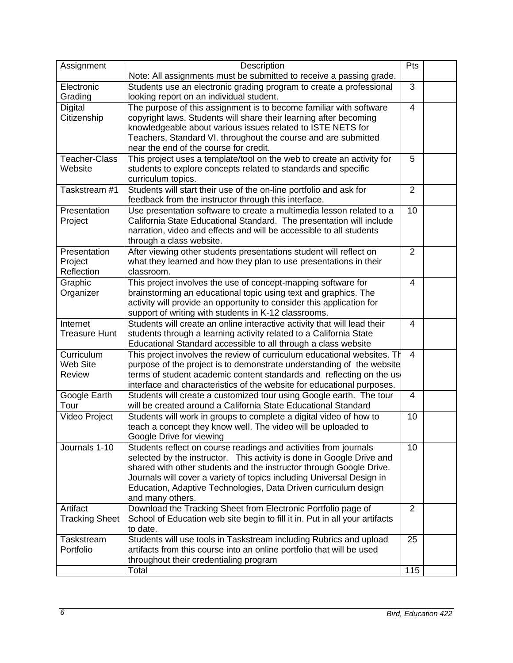| Assignment                            | Description                                                                                                                                                                                                                                                                                                                                                                      | Pts            |  |
|---------------------------------------|----------------------------------------------------------------------------------------------------------------------------------------------------------------------------------------------------------------------------------------------------------------------------------------------------------------------------------------------------------------------------------|----------------|--|
|                                       | Note: All assignments must be submitted to receive a passing grade.                                                                                                                                                                                                                                                                                                              |                |  |
| Electronic<br>Grading                 | Students use an electronic grading program to create a professional<br>looking report on an individual student.                                                                                                                                                                                                                                                                  | 3              |  |
| Digital<br>Citizenship                | The purpose of this assignment is to become familiar with software<br>copyright laws. Students will share their learning after becoming<br>knowledgeable about various issues related to ISTE NETS for<br>Teachers, Standard VI. throughout the course and are submitted<br>near the end of the course for credit.                                                               | $\overline{4}$ |  |
| Teacher-Class<br>Website              | This project uses a template/tool on the web to create an activity for<br>students to explore concepts related to standards and specific<br>curriculum topics.                                                                                                                                                                                                                   | 5              |  |
| Taskstream #1                         | Students will start their use of the on-line portfolio and ask for<br>feedback from the instructor through this interface.                                                                                                                                                                                                                                                       | $\overline{2}$ |  |
| Presentation<br>Project               | Use presentation software to create a multimedia lesson related to a<br>California State Educational Standard. The presentation will include<br>narration, video and effects and will be accessible to all students<br>through a class website.                                                                                                                                  | 10             |  |
| Presentation<br>Project<br>Reflection | After viewing other students presentations student will reflect on<br>what they learned and how they plan to use presentations in their<br>classroom.                                                                                                                                                                                                                            | $\overline{2}$ |  |
| Graphic<br>Organizer                  | This project involves the use of concept-mapping software for<br>brainstorming an educational topic using text and graphics. The<br>activity will provide an opportunity to consider this application for<br>support of writing with students in K-12 classrooms.                                                                                                                | 4              |  |
| Internet<br><b>Treasure Hunt</b>      | Students will create an online interactive activity that will lead their<br>students through a learning activity related to a California State<br>Educational Standard accessible to all through a class website                                                                                                                                                                 | 4              |  |
| Curriculum<br>Web Site<br>Review      | This project involves the review of curriculum educational websites. Th<br>purpose of the project is to demonstrate understanding of the website<br>terms of student academic content standards and reflecting on the us<br>interface and characteristics of the website for educational purposes.                                                                               | 4              |  |
| Google Earth<br>Tour                  | Students will create a customized tour using Google earth. The tour<br>will be created around a California State Educational Standard                                                                                                                                                                                                                                            | $\overline{4}$ |  |
| Video Project                         | Students will work in groups to complete a digital video of how to<br>teach a concept they know well. The video will be uploaded to<br>Google Drive for viewing                                                                                                                                                                                                                  | 10             |  |
| Journals 1-10                         | Students reflect on course readings and activities from journals<br>selected by the instructor. This activity is done in Google Drive and<br>shared with other students and the instructor through Google Drive.<br>Journals will cover a variety of topics including Universal Design in<br>Education, Adaptive Technologies, Data Driven curriculum design<br>and many others. | 10             |  |
| Artifact<br><b>Tracking Sheet</b>     | Download the Tracking Sheet from Electronic Portfolio page of<br>School of Education web site begin to fill it in. Put in all your artifacts<br>to date.                                                                                                                                                                                                                         | $\overline{2}$ |  |
| Taskstream<br>Portfolio               | Students will use tools in Taskstream including Rubrics and upload<br>artifacts from this course into an online portfolio that will be used<br>throughout their credentialing program                                                                                                                                                                                            | 25             |  |
|                                       | Total                                                                                                                                                                                                                                                                                                                                                                            | 115            |  |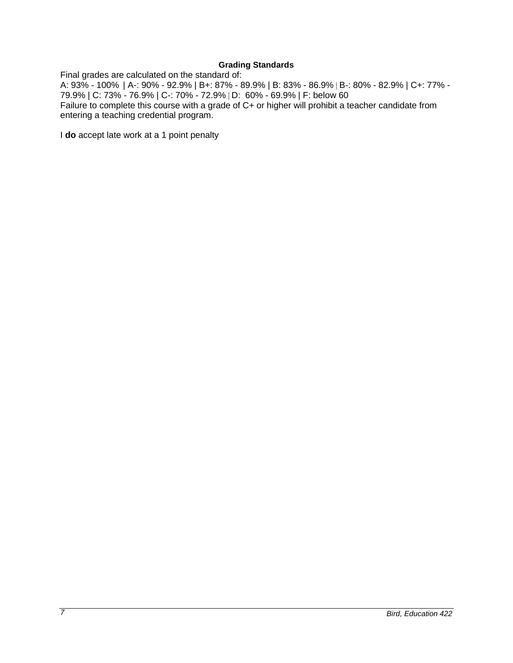# **Grading Standards**

Final grades are calculated on the standard of:

A: 93% - 100% | A-: 90% - 92.9% | B+: 87% - 89.9% | B: 83% - 86.9% | B-: 80% - 82.9% | C+: 77% - 79.9% | C: 73% - 76.9% | C-: 70% - 72.9% | D: 60% - 69.9% | F: below 60 Failure to complete this course with a grade of C+ or higher will prohibit a teacher candidate from entering a teaching credential program.

I **do** accept late work at a 1 point penalty